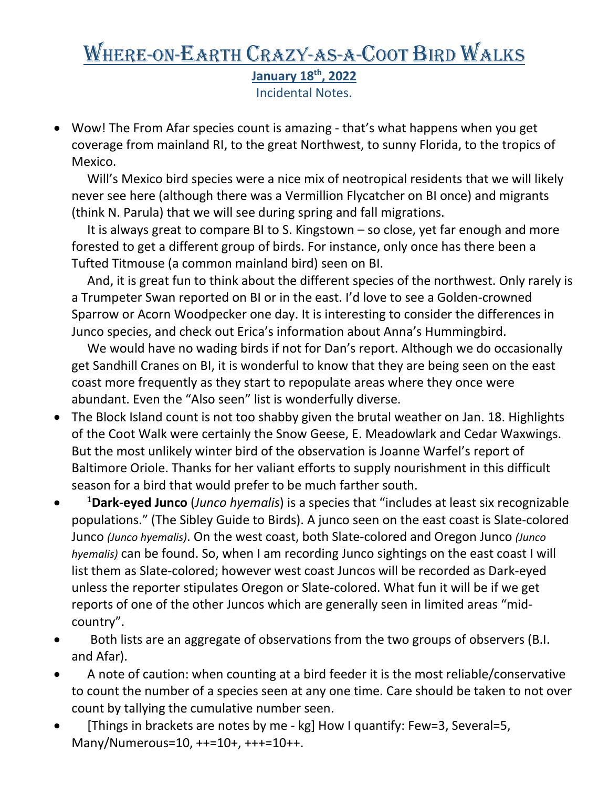## Where-on-Earth Crazy-as-a-Coot Bird Walks **January 18th, 2022**  Incidental Notes.

• Wow! The From Afar species count is amazing - that's what happens when you get coverage from mainland RI, to the great Northwest, to sunny Florida, to the tropics of Mexico.

 Will's Mexico bird species were a nice mix of neotropical residents that we will likely never see here (although there was a Vermillion Flycatcher on BI once) and migrants (think N. Parula) that we will see during spring and fall migrations.

 It is always great to compare BI to S. Kingstown – so close, yet far enough and more forested to get a different group of birds. For instance, only once has there been a Tufted Titmouse (a common mainland bird) seen on BI.

 And, it is great fun to think about the different species of the northwest. Only rarely is a Trumpeter Swan reported on BI or in the east. I'd love to see a Golden-crowned Sparrow or Acorn Woodpecker one day. It is interesting to consider the differences in Junco species, and check out Erica's information about Anna's Hummingbird.

 We would have no wading birds if not for Dan's report. Although we do occasionally get Sandhill Cranes on BI, it is wonderful to know that they are being seen on the east coast more frequently as they start to repopulate areas where they once were abundant. Even the "Also seen" list is wonderfully diverse.

- The Block Island count is not too shabby given the brutal weather on Jan. 18. Highlights of the Coot Walk were certainly the Snow Geese, E. Meadowlark and Cedar Waxwings. But the most unlikely winter bird of the observation is Joanne Warfel's report of Baltimore Oriole. Thanks for her valiant efforts to supply nourishment in this difficult season for a bird that would prefer to be much farther south.
- 1 **Dark-eyed Junco** (*Junco hyemalis*) is a species that "includes at least six recognizable populations." (The Sibley Guide to Birds). A junco seen on the east coast is Slate-colored Junco *(Junco hyemalis)*. On the west coast, both Slate-colored and Oregon Junco *(Junco hyemalis)* can be found. So, when I am recording Junco sightings on the east coast I will list them as Slate-colored; however west coast Juncos will be recorded as Dark-eyed unless the reporter stipulates Oregon or Slate-colored. What fun it will be if we get reports of one of the other Juncos which are generally seen in limited areas "midcountry".
- Both lists are an aggregate of observations from the two groups of observers (B.I. and Afar).
- A note of caution: when counting at a bird feeder it is the most reliable/conservative to count the number of a species seen at any one time. Care should be taken to not over count by tallying the cumulative number seen.
- [Things in brackets are notes by me kg] How I quantify: Few=3, Several=5, Many/Numerous=10, ++=10+, +++=10++.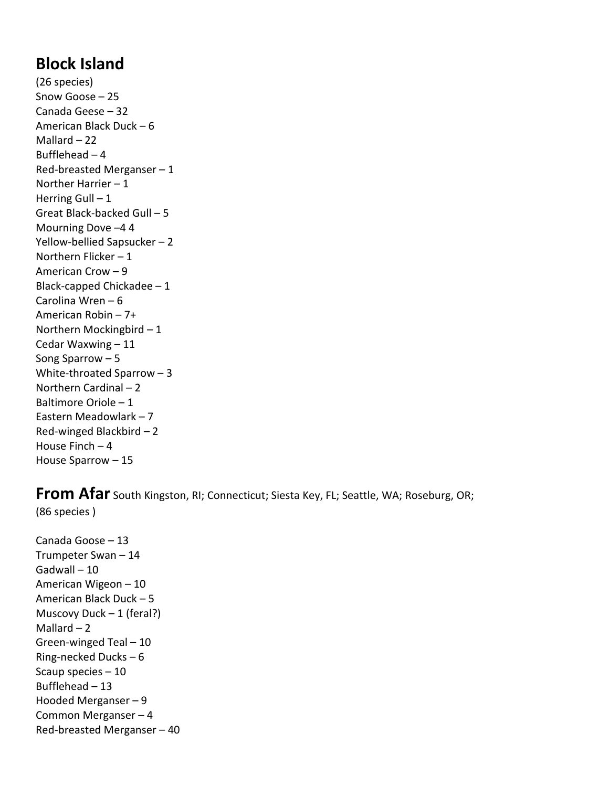## **Block Island**

(26 species) Snow Goose – 25 Canada Geese – 32 American Black Duck – 6 Mallard – 22 Bufflehead – 4 Red-breasted Merganser  $-1$ Norther Harrier – 1 Herring Gull  $-1$ Great Black-backed Gull – 5 Mourning Dove –4 4 Yellow-bellied Sapsucker – 2 Northern Flicker – 1 American Crow – 9 Black-capped Chickadee – 1 Carolina Wren – 6 American Robin – 7+ Northern Mockingbird – 1 Cedar Waxwing – 11 Song Sparrow – 5 White-throated Sparrow – 3 Northern Cardinal – 2 Baltimore Oriole – 1 Eastern Meadowlark – 7 Red-winged Blackbird – 2 House Finch – 4 House Sparrow – 15

## **From Afar** South Kingston, RI; Connecticut; Siesta Key, FL; Seattle, WA; Roseburg, OR; (86 species )

Canada Goose – 13 Trumpeter Swan – 14 Gadwall – 10 American Wigeon – 10 American Black Duck – 5 Muscovy Duck – 1 (feral?) Mallard  $-2$ Green-winged Teal – 10 Ring-necked Ducks – 6 Scaup species – 10 Bufflehead – 13 Hooded Merganser – 9 Common Merganser – 4 Red-breasted Merganser – 40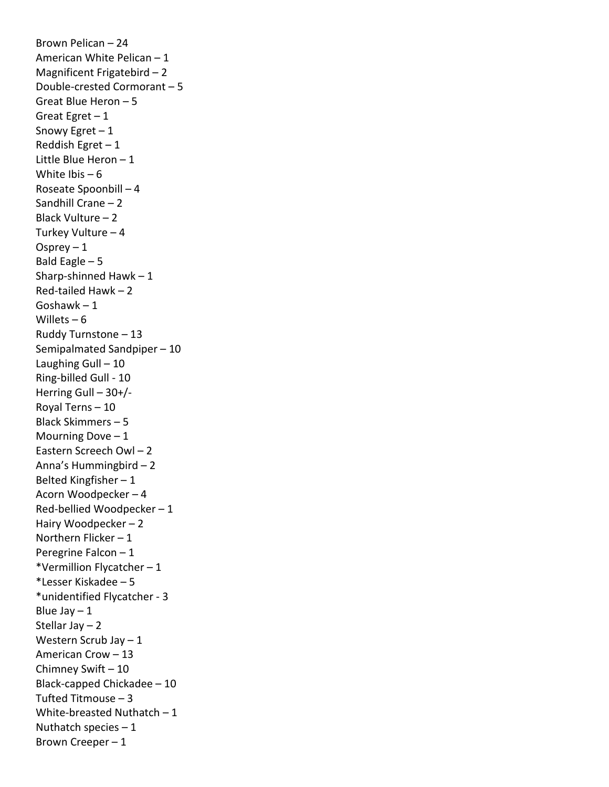Brown Pelican – 24 American White Pelican – 1 Magnificent Frigatebird – 2 Double-crested Cormorant – 5 Great Blue Heron – 5 Great Egret – 1 Snowy Egret – 1 Reddish Egret – 1 Little Blue Heron – 1 White Ibis  $-6$ Roseate Spoonbill – 4 Sandhill Crane – 2 Black Vulture – 2 Turkey Vulture – 4 Osprey  $-1$ Bald Eagle – 5 Sharp-shinned Hawk  $-1$ Red-tailed Hawk – 2 Goshawk – 1 Willets  $-6$ Ruddy Turnstone – 13 Semipalmated Sandpiper – 10 Laughing Gull – 10 Ring-billed Gull - 10 Herring Gull – 30+/- Royal Terns – 10 Black Skimmers – 5 Mourning Dove  $-1$ Eastern Screech Owl – 2 Anna's Hummingbird – 2 Belted Kingfisher – 1 Acorn Woodpecker – 4 Red-bellied Woodpecker – 1 Hairy Woodpecker – 2 Northern Flicker – 1 Peregrine Falcon – 1 \*Vermillion Flycatcher – 1 \*Lesser Kiskadee – 5 \*unidentified Flycatcher - 3 Blue Jay  $-1$ Stellar Jay – 2 Western Scrub Jay – 1 American Crow – 13 Chimney Swift – 10 Black-capped Chickadee – 10 Tufted Titmouse – 3 White-breasted Nuthatch – 1 Nuthatch species  $-1$ Brown Creeper – 1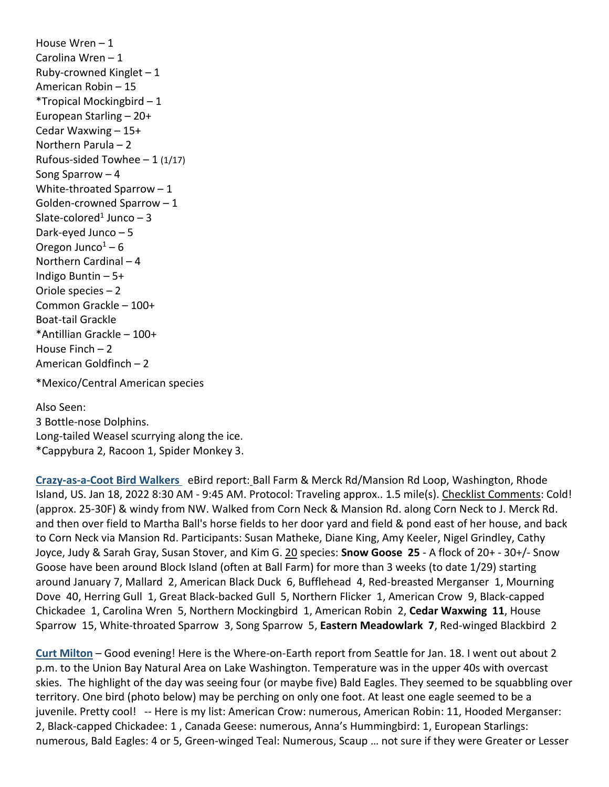House Wren – 1 Carolina Wren – 1 Ruby-crowned Kinglet  $-1$ American Robin – 15 \*Tropical Mockingbird – 1 European Starling – 20+ Cedar Waxwing – 15+ Northern Parula – 2 Rufous-sided Towhee  $-1$  (1/17) Song Sparrow – 4 White-throated Sparrow – 1 Golden-crowned Sparrow – 1 Slate-colored<sup>1</sup> Junco  $-3$ Dark-eyed Junco – 5 Oregon Junco $1 - 6$ Northern Cardinal – 4 Indigo Buntin – 5+ Oriole species – 2 Common Grackle – 100+ Boat-tail Grackle \*Antillian Grackle – 100+ House Finch – 2 American Goldfinch – 2

\*Mexico/Central American species

Also Seen: 3 Bottle-nose Dolphins. Long-tailed Weasel scurrying along the ice. \*Cappybura 2, Racoon 1, Spider Monkey 3.

**Crazy-as-a-Coot Bird Walkers** eBird report: Ball Farm & Merck Rd/Mansion Rd Loop, Washington, Rhode Island, US. Jan 18, 2022 8:30 AM - 9:45 AM. Protocol: Traveling approx.. 1.5 mile(s). Checklist Comments: Cold! (approx. 25-30F) & windy from NW. Walked from Corn Neck & Mansion Rd. along Corn Neck to J. Merck Rd. and then over field to Martha Ball's horse fields to her door yard and field & pond east of her house, and back to Corn Neck via Mansion Rd. Participants: Susan Matheke, Diane King, Amy Keeler, Nigel Grindley, Cathy Joyce, Judy & Sarah Gray, Susan Stover, and Kim G. 20 species: **Snow Goose 25** - A flock of 20+ - 30+/- Snow Goose have been around Block Island (often at Ball Farm) for more than 3 weeks (to date 1/29) starting around January 7, Mallard 2, American Black Duck 6, Bufflehead 4, Red-breasted Merganser 1, Mourning Dove 40, Herring Gull 1, Great Black-backed Gull 5, Northern Flicker 1, American Crow 9, Black-capped Chickadee 1, Carolina Wren 5, Northern Mockingbird 1, American Robin 2, **Cedar Waxwing 11**, House Sparrow 15, White-throated Sparrow 3, Song Sparrow 5, **Eastern Meadowlark 7**, Red-winged Blackbird 2

**Curt Milton** – Good evening! Here is the Where-on-Earth report from Seattle for Jan. 18. I went out about 2 p.m. to the Union Bay Natural Area on Lake Washington. Temperature was in the upper 40s with overcast skies. The highlight of the day was seeing four (or maybe five) Bald Eagles. They seemed to be squabbling over territory. One bird (photo below) may be perching on only one foot. At least one eagle seemed to be a juvenile. Pretty cool! -- Here is my list: American Crow: numerous, American Robin: 11, Hooded Merganser: 2, Black-capped Chickadee: 1 , Canada Geese: numerous, Anna's Hummingbird: 1, European Starlings: numerous, Bald Eagles: 4 or 5, Green-winged Teal: Numerous, Scaup … not sure if they were Greater or Lesser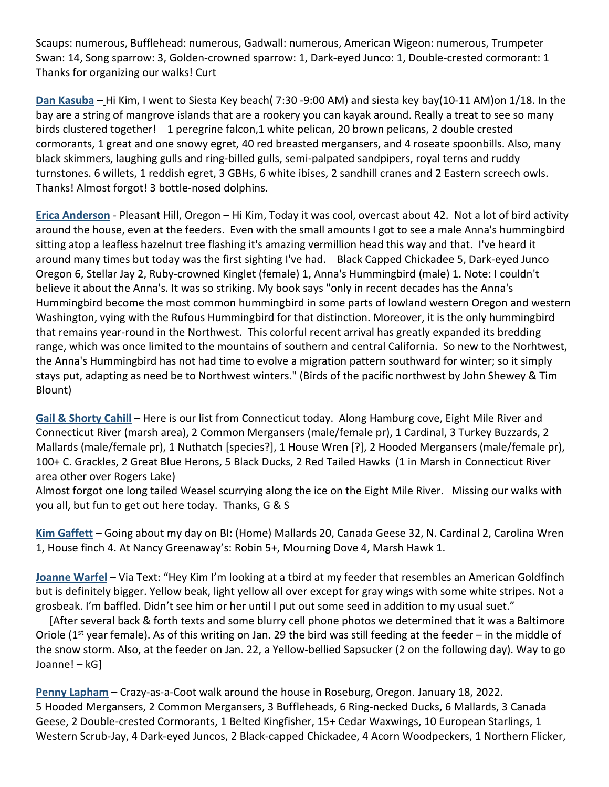Scaups: numerous, Bufflehead: numerous, Gadwall: numerous, American Wigeon: numerous, Trumpeter Swan: 14, Song sparrow: 3, Golden-crowned sparrow: 1, Dark-eyed Junco: 1, Double-crested cormorant: 1 Thanks for organizing our walks! Curt

**Dan Kasuba** – Hi Kim, I went to Siesta Key beach( 7:30 -9:00 AM) and siesta key bay(10-11 AM)on 1/18. In the bay are a string of mangrove islands that are a rookery you can kayak around. Really a treat to see so many birds clustered together! 1 peregrine falcon,1 white pelican, 20 brown pelicans, 2 double crested cormorants, 1 great and one snowy egret, 40 red breasted mergansers, and 4 roseate spoonbills. Also, many black skimmers, laughing gulls and ring-billed gulls, semi-palpated sandpipers, royal terns and ruddy turnstones. 6 willets, 1 reddish egret, 3 GBHs, 6 white ibises, 2 sandhill cranes and 2 Eastern screech owls. Thanks! Almost forgot! 3 bottle-nosed dolphins.

**Erica Anderson** - Pleasant Hill, Oregon – Hi Kim, Today it was cool, overcast about 42. Not a lot of bird activity around the house, even at the feeders. Even with the small amounts I got to see a male Anna's hummingbird sitting atop a leafless hazelnut tree flashing it's amazing vermillion head this way and that. I've heard it around many times but today was the first sighting I've had. Black Capped Chickadee 5, Dark-eyed Junco Oregon 6, Stellar Jay 2, Ruby-crowned Kinglet (female) 1, Anna's Hummingbird (male) 1. Note: I couldn't believe it about the Anna's. It was so striking. My book says "only in recent decades has the Anna's Hummingbird become the most common hummingbird in some parts of lowland western Oregon and western Washington, vying with the Rufous Hummingbird for that distinction. Moreover, it is the only hummingbird that remains year-round in the Northwest. This colorful recent arrival has greatly expanded its bredding range, which was once limited to the mountains of southern and central California. So new to the Norhtwest, the Anna's Hummingbird has not had time to evolve a migration pattern southward for winter; so it simply stays put, adapting as need be to Northwest winters." (Birds of the pacific northwest by John Shewey & Tim Blount)

**Gail & Shorty Cahill** – Here is our list from Connecticut today. Along Hamburg cove, Eight Mile River and Connecticut River (marsh area), 2 Common Mergansers (male/female pr), 1 Cardinal, 3 Turkey Buzzards, 2 Mallards (male/female pr), 1 Nuthatch [species?], 1 House Wren [?], 2 Hooded Mergansers (male/female pr), 100+ C. Grackles, 2 Great Blue Herons, 5 Black Ducks, 2 Red Tailed Hawks (1 in Marsh in Connecticut River area other over Rogers Lake)

Almost forgot one long tailed Weasel scurrying along the ice on the Eight Mile River. Missing our walks with you all, but fun to get out here today. Thanks, G & S

**Kim Gaffett** – Going about my day on BI: (Home) Mallards 20, Canada Geese 32, N. Cardinal 2, Carolina Wren 1, House finch 4. At Nancy Greenaway's: Robin 5+, Mourning Dove 4, Marsh Hawk 1.

**Joanne Warfel** – Via Text: "Hey Kim I'm looking at a tbird at my feeder that resembles an American Goldfinch but is definitely bigger. Yellow beak, light yellow all over except for gray wings with some white stripes. Not a grosbeak. I'm baffled. Didn't see him or her until I put out some seed in addition to my usual suet."

 [After several back & forth texts and some blurry cell phone photos we determined that it was a Baltimore Oriole ( $1<sup>st</sup>$  year female). As of this writing on Jan. 29 the bird was still feeding at the feeder – in the middle of the snow storm. Also, at the feeder on Jan. 22, a Yellow-bellied Sapsucker (2 on the following day). Way to go Joanne! – kG]

**Penny Lapham** – Crazy-as-a-Coot walk around the house in Roseburg, Oregon. January 18, 2022. 5 Hooded Mergansers, 2 Common Mergansers, 3 Buffleheads, 6 Ring-necked Ducks, 6 Mallards, 3 Canada Geese, 2 Double-crested Cormorants, 1 Belted Kingfisher, 15+ Cedar Waxwings, 10 European Starlings, 1 Western Scrub-Jay, 4 Dark-eyed Juncos, 2 Black-capped Chickadee, 4 Acorn Woodpeckers, 1 Northern Flicker,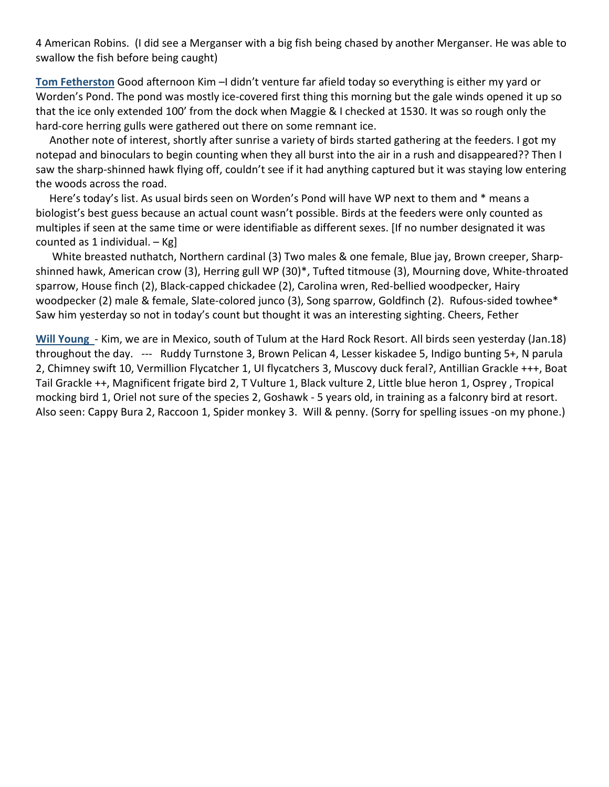4 American Robins. (I did see a Merganser with a big fish being chased by another Merganser. He was able to swallow the fish before being caught)

**Tom Fetherston** Good afternoon Kim –I didn't venture far afield today so everything is either my yard or Worden's Pond. The pond was mostly ice-covered first thing this morning but the gale winds opened it up so that the ice only extended 100' from the dock when Maggie & I checked at 1530. It was so rough only the hard-core herring gulls were gathered out there on some remnant ice.

 Another note of interest, shortly after sunrise a variety of birds started gathering at the feeders. I got my notepad and binoculars to begin counting when they all burst into the air in a rush and disappeared?? Then I saw the sharp-shinned hawk flying off, couldn't see if it had anything captured but it was staying low entering the woods across the road.

 Here's today's list. As usual birds seen on Worden's Pond will have WP next to them and \* means a biologist's best guess because an actual count wasn't possible. Birds at the feeders were only counted as multiples if seen at the same time or were identifiable as different sexes. [If no number designated it was counted as 1 individual.  $-$  Kg]

 White breasted nuthatch, Northern cardinal (3) Two males & one female, Blue jay, Brown creeper, Sharpshinned hawk, American crow (3), Herring gull WP (30)\*, Tufted titmouse (3), Mourning dove, White-throated sparrow, House finch (2), Black-capped chickadee (2), Carolina wren, Red-bellied woodpecker, Hairy woodpecker (2) male & female, Slate-colored junco (3), Song sparrow, Goldfinch (2). Rufous-sided towhee\* Saw him yesterday so not in today's count but thought it was an interesting sighting. Cheers, Fether

**Will Young** - Kim, we are in Mexico, south of Tulum at the Hard Rock Resort. All birds seen yesterday (Jan.18) throughout the day. --- Ruddy Turnstone 3, Brown Pelican 4, Lesser kiskadee 5, Indigo bunting 5+, N parula 2, Chimney swift 10, Vermillion Flycatcher 1, UI flycatchers 3, Muscovy duck feral?, Antillian Grackle +++, Boat Tail Grackle ++, Magnificent frigate bird 2, T Vulture 1, Black vulture 2, Little blue heron 1, Osprey , Tropical mocking bird 1, Oriel not sure of the species 2, Goshawk - 5 years old, in training as a falconry bird at resort. Also seen: Cappy Bura 2, Raccoon 1, Spider monkey 3. Will & penny. (Sorry for spelling issues -on my phone.)